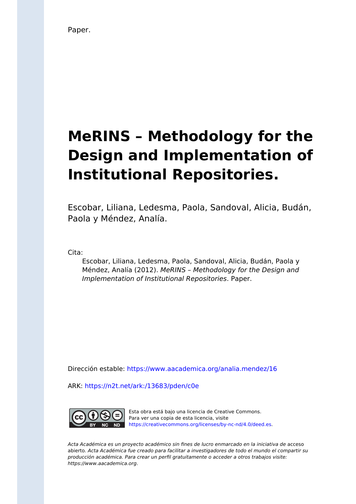Paper.

# **MeRINS – Methodology for the Design and Implementation of Institutional Repositories.**

Escobar, Liliana, Ledesma, Paola, Sandoval, Alicia, Budán, Paola y Méndez, Analía.

Cita:

Escobar, Liliana, Ledesma, Paola, Sandoval, Alicia, Budán, Paola y Méndez, Analía (2012). MeRINS – Methodology for the Design and Implementation of Institutional Repositories. Paper.

Dirección estable:<https://www.aacademica.org/analia.mendez/16>

ARK: <https://n2t.net/ark:/13683/pden/c0e>



Esta obra está bajo una licencia de Creative Commons. Para ver una copia de esta licencia, visite [https://creativecommons.org/licenses/by-nc-nd/4.0/deed.es.](https://creativecommons.org/licenses/by-nc-nd/4.0/deed.es)

Acta Académica es un proyecto académico sin fines de lucro enmarcado en la iniciativa de acceso abierto. Acta Académica fue creado para facilitar a investigadores de todo el mundo el compartir su producción académica. Para crear un perfil gratuitamente o acceder a otros trabajos visite: https://www.aacademica.org.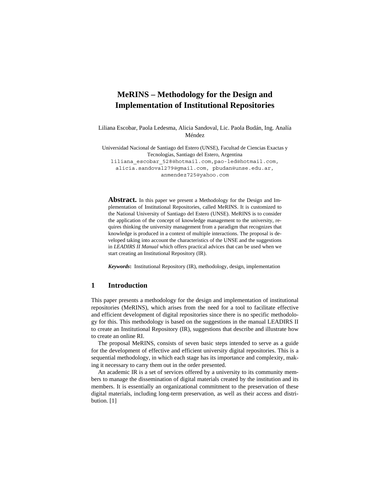## **MeRINS – Methodology for the Design and Implementation of Institutional Repositories**

Liliana Escobar, Paola Ledesma, Alicia Sandoval, Lic. Paola Budán, Ing. Analía Méndez

Universidad Nacional de Santiago del Estero (UNSE), Facultad de Ciencias Exactas y Tecnologías, Santiago del Estero, Argentina liliana\_escobar\_528@hotmail.com,pao-led@hotmail.com, alicia.sandoval279@gmail.com, pbudan@unse.edu.ar, anmendez725@yahoo.com

**Abstract.** In this paper we present a Methodology for the Design and Implementation of Institutional Repositories, called MeRINS. It is customized to the National University of Santiago del Estero (UNSE). MeRINS is to consider the application of the concept of knowledge management to the university, requires thinking the university management from a paradigm that recognizes that knowledge is produced in a context of multiple interactions. The proposal is developed taking into account the characteristics of the UNSE and the suggestions in *LEADIRS II Manual* which offers practical advices that can be used when we start creating an Institutional Repository (IR).

*Keywords***:** Institutional Repository (IR), methodology, design, implementation

## **1 Introduction**

This paper presents a methodology for the design and implementation of institutional repositories (MeRINS), which arises from the need for a tool to facilitate effective and efficient development of digital repositories since there is no specific methodology for this. This methodology is based on the suggestions in the manual LEADIRS II to create an Institutional Repository (IR), suggestions that describe and illustrate how to create an online RI.

The proposal MeRINS, consists of seven basic steps intended to serve as a guide for the development of effective and efficient university digital repositories. This is a sequential methodology, in which each stage has its importance and complexity, making it necessary to carry them out in the order presented.

An academic IR is a set of services offered by a university to its community members to manage the dissemination of digital materials created by the institution and its members. It is essentially an organizational commitment to the preservation of these digital materials, including long-term preservation, as well as their access and distribution. [1]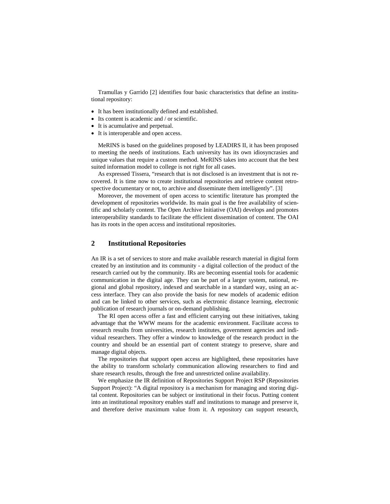Tramullas y Garrido [2] identifies four basic characteristics that define an institutional repository:

- It has been institutionally defined and established.
- Its content is academic and / or scientific.
- It is acumulative and perpetual.
- It is interoperable and open access.

MeRINS is based on the guidelines proposed by LEADIRS II, it has been proposed to meeting the needs of institutions. Each university has its own idiosyncrasies and unique values that require a custom method. MeRINS takes into account that the best suited information model to college is not right for all cases.

As expressed Tissera, "research that is not disclosed is an investment that is not recovered. It is time now to create institutional repositories and retrieve content retrospective documentary or not, to archive and disseminate them intelligently". [3]

Moreover, the movement of open access to scientific literature has prompted the development of repositories worldwide. Its main goal is the free availability of scientific and scholarly content. The Open Archive Initiative (OAI) develops and promotes interoperability standards to facilitate the efficient dissemination of content. The OAI has its roots in the open access and institutional repositories.

## **2 Institutional Repositories**

An IR is a set of services to store and make available research material in digital form created by an institution and its community - a digital collection of the product of the research carried out by the community. IRs are becoming essential tools for academic communication in the digital age. They can be part of a larger system, national, regional and global repository, indexed and searchable in a standard way, using an access interface. They can also provide the basis for new models of academic edition and can be linked to other services, such as electronic distance learning, electronic publication of research journals or on-demand publishing.

The RI open access offer a fast and efficient carrying out these initiatives, taking advantage that the WWW means for the academic environment. Facilitate access to research results from universities, research institutes, government agencies and individual researchers. They offer a window to knowledge of the research product in the country and should be an essential part of content strategy to preserve, share and manage digital objects.

The repositories that support open access are highlighted, these repositories have the ability to transform scholarly communication allowing researchers to find and share research results, through the free and unrestricted online availability.

We emphasize the IR definition of Repositories Support Project RSP (Repositories Support Project): "A digital repository is a mechanism for managing and storing digital content. Repositories can be subject or institutional in their focus. Putting content into an institutional repository enables staff and institutions to manage and preserve it, and therefore derive maximum value from it. A repository can support research,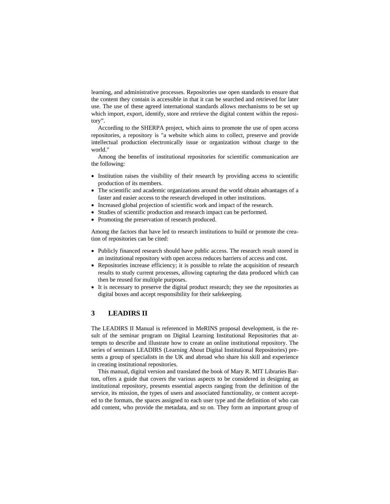learning, and administrative processes. Repositories use open standards to ensure that the content they contain is accessible in that it can be searched and retrieved for later use. The use of these agreed international standards allows mechanisms to be set up which import, export, identify, store and retrieve the digital content within the repository".

According to the SHERPA project, which aims to promote the use of open access repositories, a repository is "a website which aims to collect, preserve and provide intellectual production electronically issue or organization without charge to the world."

Among the benefits of institutional repositories for scientific communication are the following:

- Institution raises the visibility of their research by providing access to scientific production of its members.
- The scientific and academic organizations around the world obtain advantages of a faster and easier access to the research developed in other institutions.
- Increased global projection of scientific work and impact of the research.
- Studies of scientific production and research impact can be performed.
- Promoting the preservation of research produced.

Among the factors that have led to research institutions to build or promote the creation of repositories can be cited:

- Publicly financed research should have public access. The research result stored in an institutional repository with open access reduces barriers of access and cost.
- Repositories increase efficiency; it is possible to relate the acquisition of research results to study current processes, allowing capturing the data produced which can then be reused for multiple purposes.
- It is necessary to preserve the digital product research; they see the repositories as digital boxes and accept responsibility for their safekeeping.

## **3 LEADIRS II**

The LEADIRS II Manual is referenced in MeRINS proposal development, is the result of the seminar program on Digital Learning Institutional Repositories that attempts to describe and illustrate how to create an online institutional repository. The series of seminars LEADIRS (Learning About Digital Institutional Repositories) presents a group of specialists in the UK and abroad who share his skill and experience in creating institutional repositories.

This manual, digital version and translated the book of Mary R. MIT Libraries Barton, offers a guide that covers the various aspects to be considered in designing an institutional repository, presents essential aspects ranging from the definition of the service, its mission, the types of users and associated functionality, or content accepted to the formats, the spaces assigned to each user type and the definition of who can add content, who provide the metadata, and so on. They form an important group of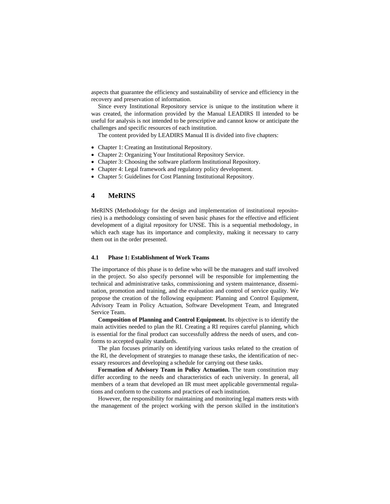aspects that guarantee the efficiency and sustainability of service and efficiency in the recovery and preservation of information.

Since every Institutional Repository service is unique to the institution where it was created, the information provided by the Manual LEADIRS II intended to be useful for analysis is not intended to be prescriptive and cannot know or anticipate the challenges and specific resources of each institution.

The content provided by LEADIRS Manual II is divided into five chapters:

- Chapter 1: Creating an Institutional Repository.
- Chapter 2: Organizing Your Institutional Repository Service.
- Chapter 3: Choosing the software platform Institutional Repository.
- Chapter 4: Legal framework and regulatory policy development.
- Chapter 5: Guidelines for Cost Planning Institutional Repository.

## **4 MeRINS**

MeRINS (Methodology for the design and implementation of institutional repositories) is a methodology consisting of seven basic phases for the effective and efficient development of a digital repository for UNSE. This is a sequential methodology, in which each stage has its importance and complexity, making it necessary to carry them out in the order presented.

#### **4.1 Phase 1: Establishment of Work Teams**

The importance of this phase is to define who will be the managers and staff involved in the project. So also specify personnel will be responsible for implementing the technical and administrative tasks, commissioning and system maintenance, dissemination, promotion and training, and the evaluation and control of service quality. We propose the creation of the following equipment: Planning and Control Equipment, Advisory Team in Policy Actuation, Software Development Team, and Integrated Service Team.

**Composition of Planning and Control Equipment.** Its objective is to identify the main activities needed to plan the RI. Creating a RI requires careful planning, which is essential for the final product can successfully address the needs of users, and conforms to accepted quality standards.

The plan focuses primarily on identifying various tasks related to the creation of the RI, the development of strategies to manage these tasks, the identification of necessary resources and developing a schedule for carrying out these tasks.

**Formation of Advisory Team in Policy Actuation.** The team constitution may differ according to the needs and characteristics of each university. In general, all members of a team that developed an IR must meet applicable governmental regulations and conform to the customs and practices of each institution.

However, the responsibility for maintaining and monitoring legal matters rests with the management of the project working with the person skilled in the institution's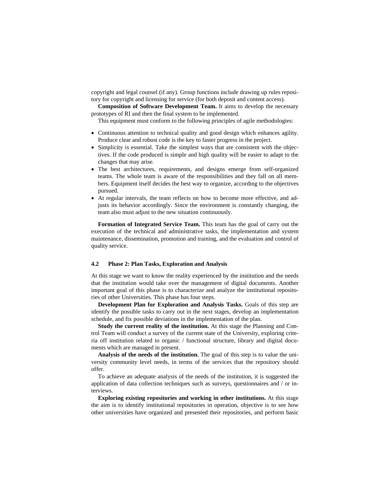copyright and legal counsel (if any). Group functions include drawing up rules repository for copyright and licensing for service (for both deposit and content access).

**Composition of Software Development Team.** It aims to develop the necessary prototypes of RI and then the final system to be implemented.

This equipment must conform to the following principles of agile methodologies:

- Continuous attention to technical quality and good design which enhances agility. Produce clear and robust code is the key to faster progress in the project.
- Simplicity is essential. Take the simplest ways that are consistent with the objectives. If the code produced is simple and high quality will be easier to adapt to the changes that may arise.
- The best architectures, requirements, and designs emerge from self-organized teams. The whole team is aware of the responsibilities and they fall on all members. Equipment itself decides the best way to organize, according to the objectives pursued.
- At regular intervals, the team reflects on how to become more effective, and adjusts its behavior accordingly. Since the environment is constantly changing, the team also must adjust to the new situation continuously.

**Formation of Integrated Service Team.** This team has the goal of carry out the execution of the technical and administrative tasks, the implementation and system maintenance, dissemination, promotion and training, and the evaluation and control of quality service.

#### **4.2 Phase 2: Plan Tasks, Exploration and Analysis**

At this stage we want to know the reality experienced by the institution and the needs that the institution would take over the management of digital documents. Another important goal of this phase is to characterize and analyze the institutional repositories of other Universities. This phase has four steps.

**Development Plan for Exploration and Analysis Tasks.** Goals of this step are identify the possible tasks to carry out in the next stages, develop an implementation schedule, and fix possible deviations in the implementation of the plan.

**Study the current reality of the institution.** At this stage the Planning and Control Team will conduct a survey of the current state of the University, exploring criteria off institution related to organic / functional structure, library and digital documents which are managed in present.

**Analysis of the needs of the institution.** The goal of this step is to value the university community level needs, in terms of the services that the repository should offer.

To achieve an adequate analysis of the needs of the institution, it is suggested the application of data collection techniques such as surveys, questionnaires and / or interviews.

**Exploring existing repositories and working in other institutions.** At this stage the aim is to identify institutional repositories in operation, objective is to see how other universities have organized and presented their repositories, and perform basic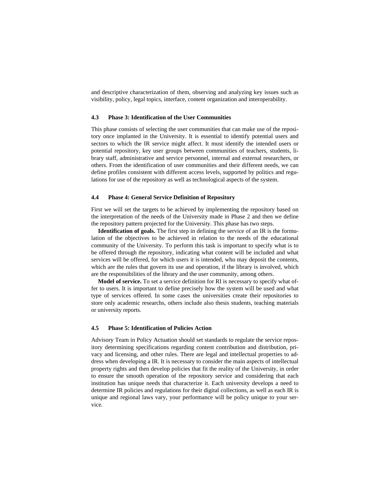and descriptive characterization of them, observing and analyzing key issues such as visibility, policy, legal topics, interface, content organization and interoperability.

#### **4.3 Phase 3: Identification of the User Communities**

This phase consists of selecting the user communities that can make use of the repository once implanted in the University. It is essential to identify potential users and sectors to which the IR service might affect. It must identify the intended users or potential repository, key user groups between communities of teachers, students, library staff, administrative and service personnel, internal and external researchers, or others. From the identification of user communities and their different needs, we can define profiles consistent with different access levels, supported by politics and regulations for use of the repository as well as technological aspects of the system.

#### **4.4 Phase 4: General Service Definition of Repository**

First we will set the targets to be achieved by implementing the repository based on the interpretation of the needs of the University made in Phase 2 and then we define the repository pattern projected for the University. This phase has two steps.

**Identification of goals.** The first step in defining the service of an IR is the formulation of the objectives to be achieved in relation to the needs of the educational community of the University. To perform this task is important to specify what is to be offered through the repository, indicating what content will be included and what services will be offered, for which users it is intended, who may deposit the contents, which are the rules that govern its use and operation, if the library is involved, which are the responsibilities of the library and the user community, among others.

**Model of service.** To set a service definition for RI is necessary to specify what offer to users. It is important to define precisely how the system will be used and what type of services offered. In some cases the universities create their repositories to store only academic researchs, others include also thesis students, teaching materials or university reports.

### **4.5 Phase 5: Identification of Policies Action**

Advisory Team in Policy Actuation should set standards to regulate the service repository determining specifications regarding content contribution and distribution, privacy and licensing, and other rules. There are legal and intellectual properties to address when developing a IR. It is necessary to consider the main aspects of intellectual property rights and then develop policies that fit the reality of the University, in order to ensure the smooth operation of the repository service and considering that each institution has unique needs that characterize it. Each university develops a need to determine IR policies and regulations for their digital collections, as well as each IR is unique and regional laws vary, your performance will be policy unique to your service.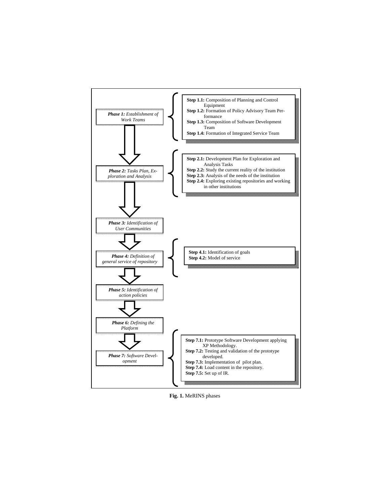

**Fig. 1.** MeRINS phases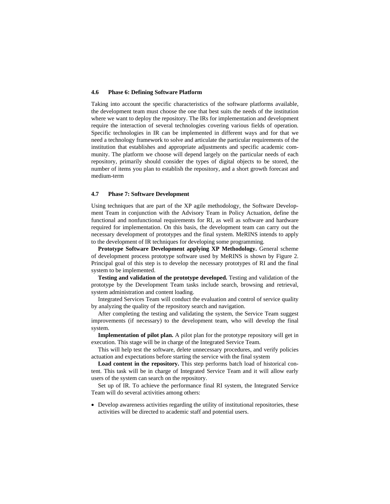#### **4.6 Phase 6: Defining Software Platform**

Taking into account the specific characteristics of the software platforms available, the development team must choose the one that best suits the needs of the institution where we want to deploy the repository. The IRs for implementation and development require the interaction of several technologies covering various fields of operation. Specific technologies in IR can be implemented in different ways and for that we need a technology framework to solve and articulate the particular requirements of the institution that establishes and appropriate adjustments and specific academic community. The platform we choose will depend largely on the particular needs of each repository, primarily should consider the types of digital objects to be stored, the number of items you plan to establish the repository, and a short growth forecast and medium-term

#### **4.7 Phase 7: Software Development**

Using techniques that are part of the XP agile methodology, the Software Development Team in conjunction with the Advisory Team in Policy Actuation, define the functional and nonfunctional requirements for RI, as well as software and hardware required for implementation. On this basis, the development team can carry out the necessary development of prototypes and the final system. MeRINS intends to apply to the development of IR techniques for developing some programming.

**Prototype Software Development applying XP Methodology.** General scheme of development process prototype software used by MeRINS is shown by Figure 2. Principal goal of this step is to develop the necessary prototypes of RI and the final system to be implemented.

**Testing and validation of the prototype developed.** Testing and validation of the prototype by the Development Team tasks include search, browsing and retrieval, system administration and content loading.

Integrated Services Team will conduct the evaluation and control of service quality by analyzing the quality of the repository search and navigation.

After completing the testing and validating the system, the Service Team suggest improvements (if necessary) to the development team, who will develop the final system.

**Implementation of pilot plan.** A pilot plan for the prototype repository will get in execution. This stage will be in charge of the Integrated Service Team.

This will help test the software, delete unnecessary procedures, and verify policies actuation and expectations before starting the service with the final system

**Load content in the repository.** This step performs batch load of historical content. This task will be in charge of Integrated Service Team and it will allow early users of the system can search on the repository.

Set up of IR. To achieve the performance final RI system, the Integrated Service Team will do several activities among others:

 Develop awareness activities regarding the utility of institutional repositories, these activities will be directed to academic staff and potential users.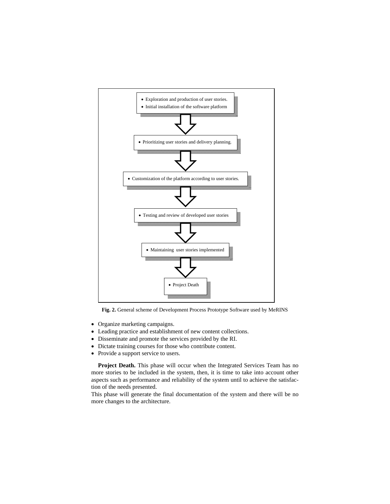

**Fig. 2.** General scheme of Development Process Prototype Software used by MeRINS

- Organize marketing campaigns.
- Leading practice and establishment of new content collections.
- Disseminate and promote the services provided by the RI.
- Dictate training courses for those who contribute content.
- Provide a support service to users.

**Project Death.** This phase will occur when the Integrated Services Team has no more stories to be included in the system, then, it is time to take into account other aspects such as performance and reliability of the system until to achieve the satisfaction of the needs presented.

This phase will generate the final documentation of the system and there will be no more changes to the architecture.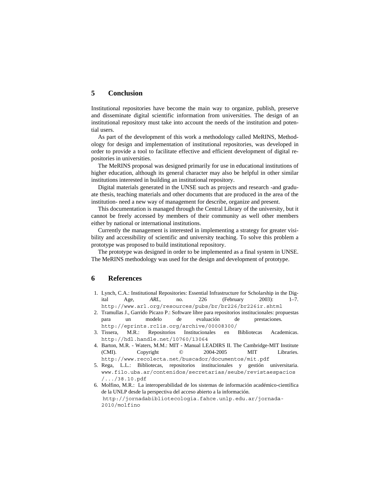## **5 Conclusion**

Institutional repositories have become the main way to organize, publish, preserve and disseminate digital scientific information from universities. The design of an institutional repository must take into account the needs of the institution and potential users.

As part of the development of this work a methodology called MeRINS, Methodology for design and implementation of institutional repositories, was developed in order to provide a tool to facilitate effective and efficient development of digital repositories in universities.

The MeRINS proposal was designed primarily for use in educational institutions of higher education, although its general character may also be helpful in other similar institutions interested in building an institutional repository.

Digital materials generated in the UNSE such as projects and research -and graduate thesis, teaching materials and other documents that are produced in the area of the institution- need a new way of management for describe, organize and present.

This documentation is managed through the Central Library of the university, but it cannot be freely accessed by members of their community as well other members either by national or international institutions.

Currently the management is interested in implementing a strategy for greater visibility and accessibility of scientific and university teaching. To solve this problem a prototype was proposed to build institutional repository.

The prototype was designed in order to be implemented as a final system in UNSE. The MeRINS methodology was used for the design and development of prototype.

## **6 References**

- 1. Lynch, C.A.: Institutional Repositories: Essential Infrastructure for Scholarship in the Digital Age, *ARL,* no. 226 (February 2003): 1–7. http://www.arl.org/resources/pubs/br/br226/br226ir.shtml
- 2. Tramullas J., Garrido Picazo P.: Software libre para repositorios institucionales: propuestas para un modelo de evaluación de prestaciones*.*  http://eprints.rclis.org/archive/00008300/
- 3. Tissera, M.R.: Repositorios Institucionales en Bibliotecas Academicas. http://hdl.handle.net/10760/13064
- 4. Barton, M.R. Waters, M.M.: MIT Manual LEADIRS II. The Cambridge-MIT Institute (CMI). Copyright © 2004-2005 MIT Libraries. http://www.recolecta.net/buscador/documentos/mit.pdf
- 5. Rega, L.L.: Bibliotecas, repositorios institucionales y gestión universitaria. www.filo.uba.ar/contenidos/secretarias/seube/revistaespacios /.../38.10.pdf
- 6. Molfino, M.R.: La interoperabilidad de los sistemas de información académico-científica de la UNLP desde la perspectiva del acceso abierto a la información. http://jornadabibliotecologia.fahce.unlp.edu.ar/jornada-2010/molfino